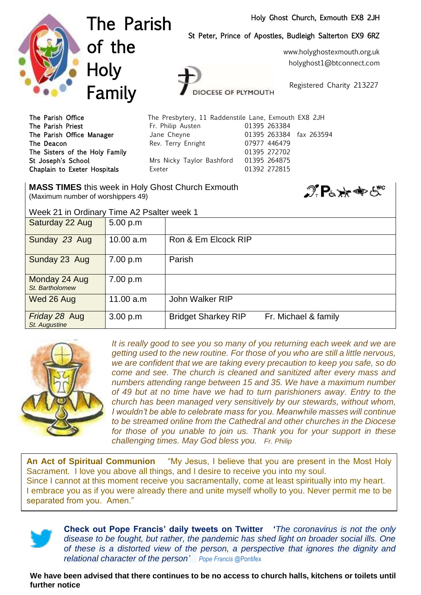## Holy Ghost Church, Exmouth EX8 2JH

St Peter, Prince of Apostles, Budleigh Salterton EX9 6RZ



The Parish of the **Holy** Family

The Parish Priest **Fr. Philip Austen** 61395 263384 The Parish Office Manager and Jane Cheyne 1988 263384 fax 263594 The Deacon **Rev. Terry Enright** 07977 446479

OCESE OF PLYMOUTH The Parish Office The Presbytery, 11 Raddenstile Lane, Exmouth EX8 2JH

The Sisters of the Holy Family **120 and 120 and 120 and 130 and 130 and 130 and 130 and 130 and 130 and 130 and 130 and 130 and 130 and 130 and 130 and 130 and 130 and 130 and 130 and 130 and 130 and 130 and 130 and 130 an** St Joseph's School Mrs Nicky Taylor Bashford 01395 264875 Chaplain to Exeter Hospitals **Exeter 12 Exeter** 11392 272815

**MASS TIMES** this week in Holy Ghost Church Exmouth (Maximum number of worshippers 49)



Week 21 in Ordinary Time A2 Psalter week 1

| Saturday 22 Aug                  | 5.00 p.m  |                                                    |
|----------------------------------|-----------|----------------------------------------------------|
| Sunday 23 Aug                    | 10.00 a.m | Ron & Em Elcock RIP                                |
| Sunday 23 Aug                    | 7.00 p.m  | Parish                                             |
| Monday 24 Aug<br>St. Bartholomew | 7.00 p.m  |                                                    |
| Wed 26 Aug                       | 11.00 a.m | John Walker RIP                                    |
| Friday 28 Aug<br>St. Augustine   | 3.00 p.m  | <b>Bridget Sharkey RIP</b><br>Fr. Michael & family |



It is really good to see you so many of you returning each week and we are *getting used to the new routine. For those of you who are still a little nervous, we are confident that we are taking every precaution to keep you safe, so do come and see. The church is cleaned and sanitized after every mass and numbers attending range between 15 and 35. We have a maximum number of 49 but at no time have we had to turn parishioners away. Entry to the church has been managed very sensitively by our stewards, without whom, I* wouldn't be able to celebrate mass for you. Meanwhile masses will continue *to be streamed online from the Cathedral and other churches in the Diocese for those of you unable to join us. Thank you for your support in these challenging times. May God bless you. Fr. Philip* 

**An Act of Spiritual Communion** "My Jesus, I believe that you are present in the Most Holy Sacrament. I love you above all things, and I desire to receive you into my soul. Since I cannot at this moment receive you sacramentally, come at least spiritually into my heart. I embrace you as if you were already there and unite myself wholly to you. Never permit me to be separated from you. Amen."



**Check out Pope Francis' daily tweets on Twitter '***The coronavirus is not the only disease to be fought, but rather, the pandemic has shed light on broader social ills. One of these is a distorted view of the person, a perspective that ignores the dignity and relational character of the person' Pope Francis* @Pontifex

**We have been advised that there continues to be no access to church halls, kitchens or toilets until further notice**

www.holyghostexmouth.org.uk

holyghost1@btconnect.com

Registered Charity 213227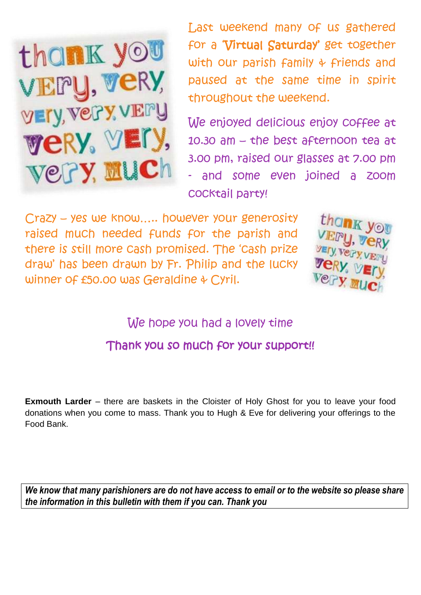

Last weekend many of us gathered for a 'Virtual Saturday' get together with our parish family & friends and paused at the same time in spirit throughout the weekend.

We enjoyed delicious enjoy coffee at 10.30 am – the best afternoon tea at 3.00 pm, raised our glasses at 7.00 pm and some even joined a zoom cocktail party!

Crazy – yes we know….. however your generosity raised much needed funds for the parish and there is still more cash promised. The 'cash prize draw' has been drawn by Fr. Philip and the lucky winner of £50.00 was Geraldine & Cyril.



We hope you had a lovely time

Thank you so much for your support!!

**Exmouth Larder** – there are baskets in the Cloister of Holy Ghost for you to leave your food donations when you come to mass. Thank you to Hugh & Eve for delivering your offerings to the Food Bank.

*We know that many parishioners are do not have access to email or to the website so please share the information in this bulletin with them if you can. Thank you*